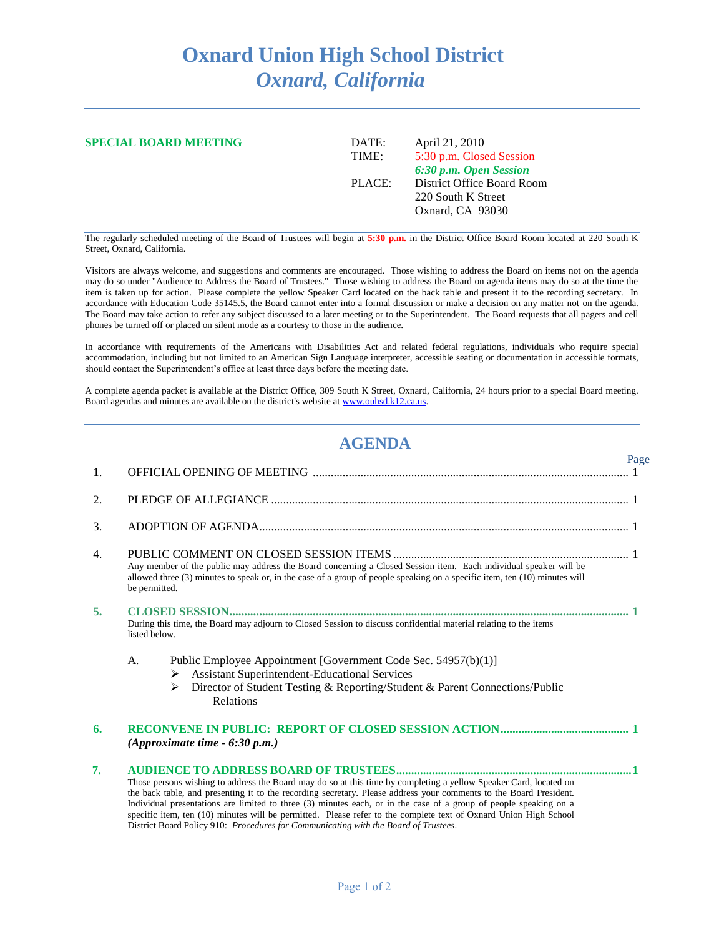## **Oxnard Union High School District** *Oxnard, California*

| <b>SPECIAL BOARD MEETING</b> | April 21, 2010<br>DATE:<br>5:30 p.m. Closed Session<br>TIME: |                            |  |
|------------------------------|--------------------------------------------------------------|----------------------------|--|
|                              |                                                              | 6:30 p.m. Open Session     |  |
|                              | PLACE:                                                       | District Office Board Room |  |
|                              |                                                              | 220 South K Street         |  |
|                              |                                                              | Oxnard, CA 93030           |  |
|                              |                                                              |                            |  |

The regularly scheduled meeting of the Board of Trustees will begin at **5:30 p.m.** in the District Office Board Room located at 220 South K Street, Oxnard, California.

Visitors are always welcome, and suggestions and comments are encouraged. Those wishing to address the Board on items not on the agenda may do so under "Audience to Address the Board of Trustees." Those wishing to address the Board on agenda items may do so at the time the item is taken up for action. Please complete the yellow Speaker Card located on the back table and present it to the recording secretary. In accordance with Education Code 35145.5, the Board cannot enter into a formal discussion or make a decision on any matter not on the agenda. The Board may take action to refer any subject discussed to a later meeting or to the Superintendent. The Board requests that all pagers and cell phones be turned off or placed on silent mode as a courtesy to those in the audience.

In accordance with requirements of the Americans with Disabilities Act and related federal regulations, individuals who require special accommodation, including but not limited to an American Sign Language interpreter, accessible seating or documentation in accessible formats, should contact the Superintendent's office at least three days before the meeting date.

A complete agenda packet is available at the District Office, 309 South K Street, Oxnard, California, 24 hours prior to a special Board meeting. Board agendas and minutes are available on the district's website a[t www.ouhsd.k12.ca.us.](http://www.ouhsd.k12.ca.us/)

## **AGENDA**

|    |                                                                                                                                                                                                                                                                                                                                                                                                                                                                                                                                                                         | Page |  |
|----|-------------------------------------------------------------------------------------------------------------------------------------------------------------------------------------------------------------------------------------------------------------------------------------------------------------------------------------------------------------------------------------------------------------------------------------------------------------------------------------------------------------------------------------------------------------------------|------|--|
| 1. |                                                                                                                                                                                                                                                                                                                                                                                                                                                                                                                                                                         |      |  |
| 2. |                                                                                                                                                                                                                                                                                                                                                                                                                                                                                                                                                                         |      |  |
| 3. |                                                                                                                                                                                                                                                                                                                                                                                                                                                                                                                                                                         |      |  |
| 4. | Any member of the public may address the Board concerning a Closed Session item. Each individual speaker will be<br>allowed three (3) minutes to speak or, in the case of a group of people speaking on a specific item, ten (10) minutes will<br>be permitted.                                                                                                                                                                                                                                                                                                         |      |  |
| 5. | During this time, the Board may adjourn to Closed Session to discuss confidential material relating to the items<br>listed below.                                                                                                                                                                                                                                                                                                                                                                                                                                       |      |  |
|    | $\mathsf{A}$ .<br>Public Employee Appointment [Government Code Sec. 54957(b)(1)]<br>Assistant Superintendent-Educational Services<br>➤<br>Director of Student Testing & Reporting/Student & Parent Connections/Public<br>➤<br><b>Relations</b>                                                                                                                                                                                                                                                                                                                          |      |  |
| 6. | (Approximate time - 6:30 p.m.)                                                                                                                                                                                                                                                                                                                                                                                                                                                                                                                                          |      |  |
| 7. | Those persons wishing to address the Board may do so at this time by completing a yellow Speaker Card, located on<br>the back table, and presenting it to the recording secretary. Please address your comments to the Board President.<br>Individual presentations are limited to three (3) minutes each, or in the case of a group of people speaking on a<br>specific item, ten (10) minutes will be permitted. Please refer to the complete text of Oxnard Union High School<br>District Board Policy 910: Procedures for Communicating with the Board of Trustees. |      |  |